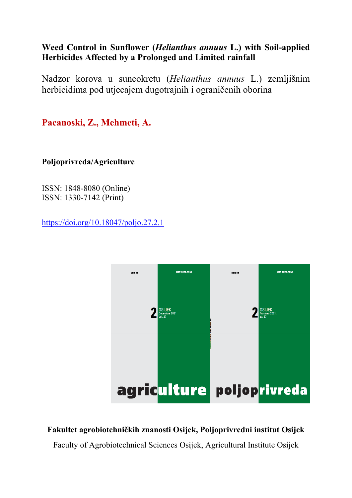# **Weed Control in Sunflower (***Helianthus annuus* **L.) with Soil-applied Herbicides Affected by a Prolonged and Limited rainfall**

Nadzor korova u suncokretu (*Helianthus annuus* L.) zemljišnim herbicidima pod utjecajem dugotrajnih i ograničenih oborina

**Pacanoski, Z., Mehmeti, A.**

**Poljoprivreda/Agriculture** 

ISSN: 1848-8080 (Online) ISSN: 1330-7142 (Print)

https://doi.org/10.18047/poljo.27.2.1



# **Fakultet agrobiotehničkih znanosti Osijek, Poljoprivredni institut Osijek**

Faculty of Agrobiotechnical Sciences Osijek, Agricultural Institute Osijek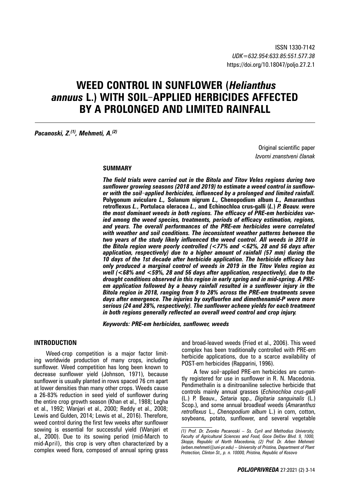# **WEED CONTROL IN SUNFLOWER (***Helianthus annuus* **L.) WITH SOIL**‒**APPLIED HERBICIDES AFFECTED BY A PROLONGED AND LIMITED RAINFALL**

*Pacanoski, Z.(1), Mehmeti, A.(2)*

Original scientific paper *Izvorni znanstveni članak*

#### **SUMMARY**

*The field trials were carried out in the Bitola and Titov Veles regions during two sunflower growing seasons (2018 and 2019) to estimate a weed control in sunflower with the soil*‒*applied herbicides, influenced by a prolonged and limited rainfall.*  **Polygonum aviculare** *L.,* **Solanum nigrum** *L.,* **Chenopodium album** *L.,* **Amaranthus retroflexus** *L.***, Portulaca oleracea** *L.***, and Echinochloa crus-galli (***L.***)** *P. Beauv. were the most dominant weeds in both regions. The efficacy of PRE-em herbicides varied among the weed species, treatments, periods of efficacy estimation, regions, and years. The overall performances of the PRE-em herbicides were correlated with weather and soil conditions. The inconsistent weather patterns between the two years of the study likely influenced the weed control. All weeds in 2018 in the Bitola region were poorly controlled (<77% and <62%, 28 and 56 days after application, respectively) due to a higher amount of rainfall (57 mm) during the 10 days of the 1st decade after herbicide application. The herbicide efficacy has only produced a marginal control of weeds in 2019 in the Titov Veles region as well (<68% and <59%, 28 and 56 days after application, respectively), due to the drought conditions observed in this region in early spring and in mid-spring. A PREem application followed by a heavy rainfall resulted in a sunflower injury in the Bitola region in 2018, ranging from 9 to 28% across the PRE-em treatments seven days after emergence. The injuries by oxyfluorfen and dimethenamid-P were more serious (24 and 28%, respectively). The sunflower achene yields for each treatment in both regions generally reflected an overall weed control and crop injury.*

*Keywords: PRE-em herbicides, sunflower, weeds* 

## **INTRODUCTION**

Weed-crop competition is a major factor limiting worldwide production of many crops, including sunflower. Weed competition has long been known to decrease sunflower yield (Johnson, 1971), because sunflower is usually planted in rows spaced 76 cm apart at lower densities than many other crops. Weeds cause a 26-83% reduction in seed yield of sunflower during the entire crop growth season (Khan et al., 1988; Legha et al., 1992; Wanjari et al., 2000; Reddy et al., 2008; Lewis and Gulden, 2014; Lewis et al., 2016). Therefore, weed control during the first few weeks after sunflower sowing is essential for successful yield (Wanjari et al., 2000). Due to its sowing period (mid-March to mid-April), this crop is very often characterized by a complex weed flora, composed of annual spring grass

and broad-leaved weeds (Fried et al., 2006). This weed complex has been traditionally controlled with PRE-em herbicide applications, due to a scarce availability of POST-em herbicides (Rapparini, 1996).

A few soil-applied PRE-em herbicides are currently registered for use in sunflower in R. N. Macedonia. Pendimethalin is a dinitroaniline selective herbicide that controls mainly annual grasses (*Echinochloa crus-galli*  (L.) P. Beauv., *Setaria* spp., *Digitaria sanguinalis* (L.) Scop.), and some annual broadleaf weeds (*Amaranthus retroflexus* L., *Chenopodium album* L.) in corn, cotton, soybeans, potato, sunflower, and several vegetable

*<sup>(1)</sup> Prof. Dr. Zvonko Pacanoski – Ss. Cyril and Methodius University, Faculty of Agricultural Sciences and Food, Goce Delčev Blvd. 9, 1000, Skopje, Republic of North Macedonia, (2) Prof. Dr. Arben Mehmeti (arben.mehmeti@uni-pr.edu) – University of Pristina, Department of Plant Protection, Clinton St., p. n. 10000, Pristina, Republic of Kosovo*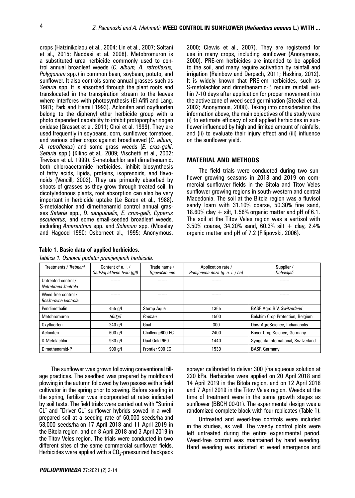crops (Hatzinikolaou et al., 2004; Lin et al., 2007; Soltani et al., 2015; Naddasi et al. 2008). Metobromuron is a substituted urea herbicide commonly used to control annual broadleaf weeds (*C. album, A. retroflexus, Polygonum* spp.) in common bean, soybean, potato, and sunflower. It also controls some annual grasses such as *Setaria* spp. It is absorbed through the plant roots and translocated in the transpiration stream to the leaves where interferes with photosynthesis (El-Afifi and Lang, 1981; Park and Hamill 1993). Aclonifen and oxyfluorfen belong to the diphenyl ether herbicide group with a photo dependent capability to inhibit protoporphyrinogen oxidase (Grasset et al. 2011; Choi et al. 1999). They are used frequently in soybeans, corn, sunflower, tomatoes, and various other crops against broadleaved (*C. album, A. retroflexus*) and some grass weeds (*E. crus-galli*, *Setaria* spp.) (Kilinc et al., 2009; Vischetti et al., 2002; Trevisan et al. 1999). S-metolachlor and dimethenamid, both chloroacetamide herbicides, inhibit biosynthesis of fatty acids, lipids, proteins, isoprenoids, and flavonoids (Vencill, 2002). They are primarily absorbed by shoots of grasses as they grow through treated soil. In dicotyledonous plants, root absorption can also be very important in herbicide uptake (Le Baron et al., 1988). S-metolachlor and dimethenamid control annual grasses *Setaria* spp., *D. sanguinalis, E. crus-galli, Cyperus esculentus*, and some small-seeded broadleaf weeds, including *Amaranthus* spp. and *Solanum* spp. (Moseley and Hagood 1990; Osborneet al., 1995; Anonymous,

#### **Table 1. Basic data of applied herbicides.**

|  |  |  | Tablica 1. Osnovni podatci primijenjenih herbicida. |
|--|--|--|-----------------------------------------------------|
|  |  |  |                                                     |

2000; Clewis et al., 2007). They are registered for use in many crops, including sunflower (Anonymous, 2000). PRE-em herbicides are intended to be applied to the soil, and many require activation by rainfall and irrigation (Rainbow and Derpsch, 2011; Haskins, 2012). It is widely known that PRE-em herbicides, such as S-metolachlor and dimethenamid-P, require rainfall within 7-10 days after application for proper movement into the active zone of weed seed germination (Steckel et al., 2002; Anonymous, 2008). Taking into consideration the information above, the main objectives of the study were (i) to estimate efficacy of soil applied herbicides in sunflower influenced by high and limited amount of rainfalls, and (ii) to evaluate their injury effect and (iii) influence on the sunflower yield.

# **MATERIAL AND METHODS**

The field trials were conducted during two sunflower growing seasons in 2018 and 2019 on commercial sunflower fields in the Bitola and Titov Veles sunflower growing regions in south-western and central Macedonia. The soil at the Bitola region was a fluvisol sandy loam with 31.10% coarse, 50.30% fine sand, 18.60% clay  $+$  silt, 1.56% organic matter and pH of 6.1. The soil at the Titov Veles region was a vertisol with 3.50% coarse, 34.20% sand,  $60.3\%$  silt + clay, 2.4% organic matter and pH of 7.2 (Filipovski, 2006).

| Treatments / Tretmani                       | Content of a. i./<br>Sadržaj aktivne tvari (g/l) | Trade name /<br>Trgovačko ime | Application rate /<br>Primjenena doza (g. a. i. / ha) | Supplier /<br>Dobavljač             |
|---------------------------------------------|--------------------------------------------------|-------------------------------|-------------------------------------------------------|-------------------------------------|
| Untreated control /<br>Netretirana kontrola |                                                  | ------                        |                                                       |                                     |
| Weed-free control /<br>Beskorovna kontrola  | ------                                           | ------                        |                                                       |                                     |
| Pendimethalin                               | 455 $q/l$                                        | Stomp Aqua                    | 1365                                                  | <b>BASF Agro B.V, Switzerland</b>   |
| Metobromuron                                | 500q/l                                           | Proman                        | 1500                                                  | Belchim Crop Protection, Belgium    |
| Oxvfluorfen                                 | $240$ g/l                                        | Goal                          | 300                                                   | Dow AgroScience, Indianapolis       |
| Aclonifen                                   | 600 q/l                                          | Challenge600 EC               | 2400                                                  | Bayer Crop Science, Germany         |
| S-Metolachlor                               | 960 q/l                                          | Dual Gold 960                 | 1440                                                  | Syngenta International, Switzerland |
| Dimethenamid-P                              | 900 q/l                                          | Frontier 900 EC               | 1530                                                  | <b>BASF, Germany</b>                |

The sunflower was grown following conventional tillage practices. The seedbed was prepared by moldboard plowing in the autumn followed by two passes with a field cultivator in the spring prior to sowing. Before seeding in the spring, fertilizer was incorporated at rates indicated by soil tests. The field trials were carried out with "Surimi CL" and "Driver CL" sunflower hybrids sowed in a wellprepared soil at a seeding rate of 60,000 seeds/ha and 58,000 seeds/ha on 17 April 2018 and 11 April 2019 in the Bitola region, and on 8 April 2018 and 3 April 2019 in the Titov Veles region. The trials were conducted in two different sites of the same commercial sunflower fields. Herbicides were applied with a  $CO<sub>2</sub>$ -pressurized backpack

14 April 2019 in the Bitola region, and on 12 April 2018 and 7 April 2019 in the Titov Veles region. Weeds at the time of treatment were in the same growth stages as sunflower (BBCH 00-01). The experimental design was a randomized complete block with four replicates (Table 1). Untreated and weed-free controls were included

in the studies, as well. The weedy control plots were left untreated during the entire experimental period. Weed-free control was maintained by hand weeding. Hand weeding was initiated at weed emergence and

sprayer calibrated to deliver 300 l/ha aqueous solution at 220 kPa. Herbicides were applied on 20 April 2018 and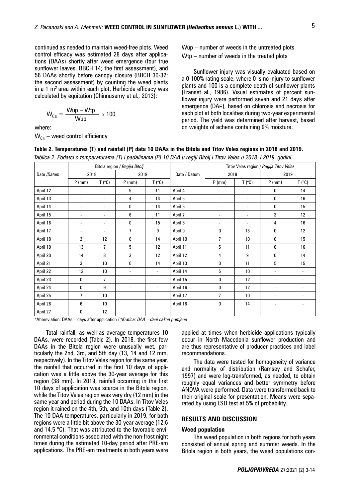continued as needed to maintain weed-free plots. Weed control efficacy was estimated 28 days after applications (DAAs) shortly after weed emergence (four true sunflower leaves, BBCH 14; the first assessment), and 56 DAAs shortly before canopy closure (BBCH 30-32; the second assessment) by counting the weed plants in a 1  $m<sup>2</sup>$  area within each plot. Herbicide efficacy was calculated by equitation (Chinnusamy et al., 2013):

$$
W_{CE} = \frac{Wup - Wtp}{Wup} \times 100
$$

where:

 $W_{CE}$  – weed control efficiency

Wup – number of weeds in the untreated plots Wtp – number of weeds in the treated plots

Sunflower injury was visually evaluated based on a 0-100% rating scale, where 0 is no injury to sunflower plants and 100 is a complete death of sunflower plants (Franset al., 1986). Visual estimates of percent sunflower injury were performed seven and 21 days after emergence (DAЕ), based on chlorosis and necrosis for each plot at both localities during two-year experimental period. The yield was determined after harvest, based on weights of achene containing 9% moisture.

|             |                          |                          | Bitola region / Regija Bitolj |                          |              | Titov Veles region / Regija Titov Veles |                          |                          |                          |  |  |  |  |
|-------------|--------------------------|--------------------------|-------------------------------|--------------------------|--------------|-----------------------------------------|--------------------------|--------------------------|--------------------------|--|--|--|--|
| Date /Datum | 2018                     |                          | 2019                          |                          | Date / Datum | 2018                                    |                          | 2019                     |                          |  |  |  |  |
|             | $P$ (mm)                 | T(°C)                    | $P$ (mm)                      | $T(^{\circ}C)$           |              | $P$ (mm)                                | T(°C)                    | $P$ (mm)                 | T(°C)                    |  |  |  |  |
| April 12    | $\overline{\phantom{a}}$ | $\blacksquare$           | 5                             | 11                       | April 4      | $\overline{\phantom{0}}$                | $\overline{\phantom{a}}$ | 0                        | 14                       |  |  |  |  |
| April 13    | $\overline{\phantom{a}}$ | $\overline{\phantom{a}}$ | 4                             | 14                       | April 5      | $\overline{\phantom{0}}$                | $\overline{\phantom{a}}$ | 0                        | 16                       |  |  |  |  |
| April 14    | $\overline{\phantom{a}}$ | $\overline{\phantom{a}}$ | 0                             | 14                       | April 6      | $\overline{\phantom{0}}$                | $\overline{\phantom{a}}$ | 0                        | 15                       |  |  |  |  |
| April 15    | $\overline{\phantom{a}}$ |                          | 6                             | 11                       | April 7      |                                         | $\overline{\phantom{a}}$ | 3                        | 12                       |  |  |  |  |
| April 16    | $\overline{\phantom{a}}$ | $\overline{\phantom{a}}$ | 0                             | 15                       | April 8      | $\overline{\phantom{0}}$                | $\overline{\phantom{a}}$ | 4                        | 16                       |  |  |  |  |
| April 17    | $\overline{\phantom{a}}$ | $\overline{\phantom{a}}$ | 7                             | 9                        | April 9      | 0                                       | 13                       | 0                        | 12                       |  |  |  |  |
| April 18    | $\overline{c}$           | 12                       | 0                             | 14                       | April 10     | 7                                       | 10                       | 0                        | 15                       |  |  |  |  |
| April 19    | 13                       | 7                        | 5                             | 12                       | April 11     | 5                                       | 11                       | 0                        | 16                       |  |  |  |  |
| April 20    | 14                       | 8                        | 3                             | 12                       | April 12     | 4                                       | 9                        | 0                        | 14                       |  |  |  |  |
| April 21    | 3                        | 10                       | 0                             | 14                       | April 13     | 0                                       | 11                       | 5                        | 15                       |  |  |  |  |
| April 22    | 12                       | 10                       | $\overline{\phantom{a}}$      | $\overline{\phantom{a}}$ | April 14     | 5                                       | 10                       | $\overline{\phantom{a}}$ | $\overline{\phantom{a}}$ |  |  |  |  |
| April 23    | 0                        | $\overline{7}$           | $\blacksquare$                | ٠                        | April 15     | 0                                       | 12                       | $\overline{\phantom{a}}$ | $\overline{\phantom{a}}$ |  |  |  |  |
| April 24    | 0                        | 9                        | $\overline{\phantom{a}}$      | $\blacksquare$           | April 16     | 0                                       | 12                       | $\blacksquare$           | $\overline{\phantom{0}}$ |  |  |  |  |
| April 25    | 7                        | 10                       |                               |                          | April 17     | 7                                       | 10                       | $\overline{\phantom{a}}$ |                          |  |  |  |  |
| April 26    | 6                        | 10                       |                               |                          | April 18     | 0                                       | 14                       | $\overline{\phantom{a}}$ | $\overline{\phantom{a}}$ |  |  |  |  |
| April 27    | 0                        | 12                       |                               |                          |              |                                         |                          |                          |                          |  |  |  |  |

**Table 2. Temperatures (T) and rainfall (P) data 10 DAAs in the Bitola and Titov Veles regions in 2018 and 2019.**

*Tablica 2. Podatci o temperaturama (T) i padalinama (P) 10 DAA u regiji Bitolj i Titov Veles u 2018. i 2019. godini.*

aAbbreviation: DAAs – days after application / *<sup>a</sup> Kratica: DAA – dani nakon primjene*

Total rainfall, as well as average temperatures 10 DAAs, were recorded (Table 2). In 2018, the first few DAAs in the Bitola region were unusually wet, particularly the 2nd, 3rd, and 5th day (13, 14 and 12 mm, respectively). In the Titov Veles region for the same year, the rainfall that occurred in the first 10 days of application was a little above the 30-year average for this region (38 mm). In 2019, rainfall occurring in the first 10 days of application was scarce in the Bitola region, while the Titov Veles region was very dry (12 mm) in the same year and period during the 10 DAAs. In Titov Veles region it rained on the 4th, 5th, and 10th days (Table 2). The 10 DAA temperatures, particularly in 2019, for both regions were a little bit above the 30-year average (12.6 and 14.5 °C). That was attributed to the favorable environmental conditions associated with the non-frost night times during the estimated 10-day period after PRE-em applications. The PRE-em treatments in both years were

applied at times when herbicide applications typically occur in North Macedonia sunflower production and are thus representative of producer practices and label recommendations.

The data were tested for homogeneity of variance and normality of distribution (Ramsey and Schafer, 1997) and were log-transformed, as needed, to obtain roughly equal variances and better symmetry before ANOVA were performed. Data were transformed back to their original scale for presentation. Means were separated by using LSD test at 5% of probability.

# **RESULTS AND DISCUSSION**

#### **Weed population**

The weed population in both regions for both years consisted of annual spring and summer weeds. In the Bitola region in both years, the weed populations con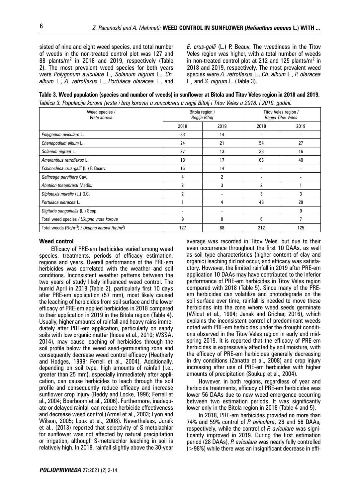sisted of nine and eight weed species, and total number of weeds in the non-treated control plot was 127 and 88 plants/m<sup>2</sup> in 2018 and 2019, respectively (Table 2). The most prevalent weed species for both years were *Polygonum aviculare* L., *Solanum nigrum* L., *Ch. album* L., *A. retroflexus* L., *Portulaca oleracea* L*.*, and

*E. crus-galli* (L.) P. Beauv. The weediness in the Titov Veles region was higher, with a total number of weeds in non-treated control plot at 212 and 125 plants/m<sup>2</sup> in 2018 and 2019, respectively. The most prevalent weed species were *A. retroflexus* L., *Ch. album* L., *P. oleracea*  L*.*, and *S. nigrum* L. (Table 3).

**Table 3. Weed population (species and number of weeds) in sunflower at Bitola and Titov Veles region in 2018 and 2019.**  *Tablica 3. Populacija korova (vrste i broj korova) u suncokretu u regiji Bitolj i Titov Veles u 2018. i 2019. godini.*

| Weed species /<br>Vrste korova                  |                | Bitola region /<br>Regija Bitolj | Titov Veles region /<br>Regija Titov Veles |      |  |  |
|-------------------------------------------------|----------------|----------------------------------|--------------------------------------------|------|--|--|
|                                                 | 2018           | 2019                             | 2018                                       | 2019 |  |  |
| Polygonum aviculare L.                          | 33             | 14                               | $\overline{\phantom{a}}$                   |      |  |  |
| Chenopodium album L.                            | 24             | 21                               | 54                                         | 27   |  |  |
| Solanum nigrum L.                               | 27             | 13                               | 38                                         | 16   |  |  |
| Amaranthus retroflexus L.                       | 18             | 17                               | 66                                         | 40   |  |  |
| Echinochloa crus-galli (L.) P. Beauv.           | 16             | 14                               |                                            |      |  |  |
| Galinsoga parviflora Cav.                       | 4              | 2                                |                                            |      |  |  |
| Abutilon theophrasti Medic.                     | 2              | 3                                | 2                                          |      |  |  |
| Diplotaxis muralis (L.) D.C.                    | $\overline{2}$ |                                  | 3                                          | 3    |  |  |
| Portulaca oleracea L.                           |                | 4                                | 48                                         | 29   |  |  |
| Digitaria sanguinalis (L.) Scop.                |                |                                  |                                            | 9    |  |  |
| Total weed species / Ukupno vrsta korova        | 9              | 8                                | 6                                          | 7    |  |  |
| Total weeds $(No/m^2) / Ukupno korova (br/m^2)$ | 127            | 88                               | 212                                        | 125  |  |  |

#### **Weed control**

Efficacy of PRE-em herbicides varied among weed species, treatments, periods of efficacy estimation, regions and years. Overall performance of the PRE-em herbicides was correlated with the weather and soil conditions. Inconsistent weather patterns between the two years of study likely influenced weed control. The humid April in 2018 (Table 2), particularly first 10 days after PRE-em application (57 mm), most likely caused the leaching of herbicides from soil surface and the lower efficacy of PRE-em applied herbicides in 2018 compared to their application in 2019 in the Bitola region (Table 4). Usually, higher amounts of rainfall and heavy rains immediately after PRE-em application, particularly on sandy soils with low organic matter (Inoue et al., 2010; WSSA, 2014), may cause leaching of herbicides through the soil profile below the weed seed-germinating zone and consequently decrease weed control efficacy (Heatherly and Hodges, 1999; Ferrell et al., 2004). Additionally, depending on soil type, high amounts of rainfall (i.e., greater than 25 mm), especially immediately after application, can cause herbicides to leach through the soil profile and consequently reduce efficacy and increase sunflower crop injury (Reddy and Locke, 1996; Ferrell et al., 2004; Boerboom et al., 2006). Furthermore, inadequate or delayed rainfall can reduce herbicide effectiveness and decrease weed control (Armel et al., 2003; Lyon and Wilson, 2005; Loux et al., 2008). Nevertheless, Jursík et al., (2013) reported that selectivity of S-metolachlor for sunflower was not affected by natural precipitation or irrigation, although S-metolachlor leaching in soil is relatively high. In 2018, rainfall slightly above the 30-year average was recorded in Titov Veles, but due to their even occurrence throughout the first 10 DAAs, as well as soil type characteristics (higher content of clay and organic) leaching did not occur, and efficacy was satisfactory. However, the limited rainfall in 2019 after PRE-em application 10 DAAs may have contributed to the inferior performance of PRE-em herbicides in Titov Veles region compared with 2018 (Table 5). Since many of the PREem herbicides can volatilize and photodegrade on the soil surface over time, rainfall is needed to move these herbicides into the zone where weed seeds germinate (Wilcut et al., 1994; Janak and Grichar, 2016), which explains the inconsistent control of predominant weeds noted with PRE-em herbicides under the drought conditions observed in the Titov Veles region in early and midspring 2019. It is reported that the efficacy of PRE-em herbicides is expressively affected by soil moisture, with the efficacy of PRE-em herbicides generally decreasing in dry conditions (Zanatta et al., 2008) and crop injury increasing after use of PRE-em herbicides with higher amounts of precipitation (Soukup et al., 2004).

However, in both regions, regardless of year and herbicide treatments, efficacy of PRE-em herbicides was lower 56 DAAs due to new weed emergence occurring between two estimation periods. It was significantly lower only in the Bitola region in 2018 (Table 4 and 5).

In 2018, PRE-em herbicides provided no more than 74% and 59% control of *P. aviculare*, 28 and 56 DAAs, respectively, while the control of *P. aviculare* was significantly improved in 2019. During the first estimation period (28 DAAs), *P. aviculare* was nearly fully controlled  $(>98%)$  while there was an insignificant decrease in effi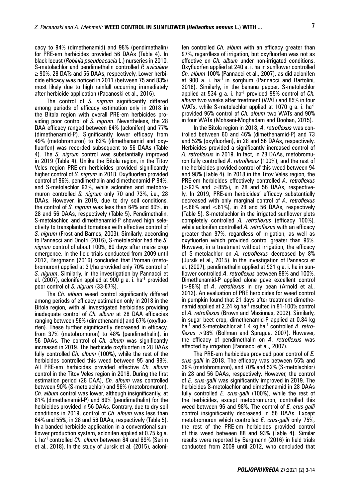cacy to 94% (dimethenamid) and 98% (pendimethalin) for PRE-em herbicides provided 56 DAAs (Table 4). In black locust (*Robinia pseudoacacia* L.) nurseries in 2010, S-metolachlor and pendimethalin controlled *P. aviculare*   $\geq$  90%, 28 DATs and 56 DAAs, respectively. Lower herbicide efficacy was noticed in 2011 (between 75 and 83%) most likely due to high rainfall occurring immediately after herbicide application (Pacanoski et al., 2016).

The control of *S. nigrum* significantly differed among periods of efficacy estimation only in 2018 in the Bitola region with overall PRE-em herbicides providing poor control of *S. nigrum*. Nevertheless, the 28 DAA efficacy ranged between 64% (aclonifen) and 77% (dimethenamid-P). Significantly lower efficacy from 49% (metobromuron) to 62% (dimethenamid and oxyfluorfen) was recorded subsequent to 56 DAAs (Table 4). The *S. nigrum* control was substantially improved in 2019 (Table 4). Unlike the Bitola region, in the Titov Veles region PRE-em herbicides provided significantly higher control of *S. nigrum* in 2018. Oxyfluorfen provided control of 96%, pendimethalin and dimethenamid-P 94%, and S-metolachlor 93%, while aclonifen and metobromuron controlled *S. nigrum* only 70 and 73%, i.e., 28 DAAs. However, in 2019, due to dry soil conditions, the control of *S. nigrum* was less than 64% and 60%, in 28 and 56 DAAs, respectively (Table 5). Pendimethalin, S-metolachlor, and dimethenamid-P showed high selectivity to transplanted tomatoes with effective control of *S. nigrum* (Frost and Barnes, 2003). Similarly, according to Pannacci and Onofri (2016), S-metolachlor had the *S. nigrum* control of about 100%, 60 days after maize crop emergence. In the field trials conducted from 2009 until 2012, Bergmann (2016) concluded that Proman (metobromuron) applied at 3 l/ha provided only 70% control of *S. nigrum*. Similarly, in the investigation by Pannacci et al. (2007), aclonifen applied at 900 g a. i. ha<sup>-1</sup> provided poor control of *S. nigrum* (33-67%).

The *Ch. album* weed control significantly differed among periods of efficacy estimation only in 2018 in the Bitola region, with all investigated herbicides providing inadequate control of *Ch. album* at 28 DAA efficacies ranging between 56% (dimethenamid) and 67% (oxyfluorfen). These further significantly decreased in efficacy, from 37% (metobromuron) to 48% (pendimethalin), in 56 DAAs. The control of *Ch. album* was significantly increased in 2019. The herbicide oxyfluorfen in 28 DAAs fully controlled *Ch. album* (100%), while the rest of the herbicides controlled this weed between 95 and 98%. All PRE-em herbicides provided effective *Ch. album* control in the Titov Veles region in 2018. During the first estimation period (28 DAA), *Ch. album* was controlled between 90% (S-metolachlor) and 96% (metobromuron). *Ch. album* control was lower, although insignificantly, at 81% (dimethenamid-P) and 89% (pendimethalin) for the herbicides provided in 56 DAAs. Contrary, due to dry soil conditions in 2019, control of *Ch. album* was less than 64% and 55%, in 28 and 56 DAAs, respectively (Table 5). In a banded herbicide application in a conventional sunflower production system, aclonifen applied at 0.75 kg a. i. ha-1 controlled *Ch. album* between 84 and 89% (Serim et al., 2018). In the study of Jursík et al. (2015), aclonifen controlled *Ch. album* with an efficacy greater than 97%, regardless of irrigation, but oxyfluorfen was not as effective on *Ch. album* under non-irrigated conditions. Oxyfluorfen applied at 240 a. i. ha in sunflower controlled *Ch. album* 100% (Pannacci et al., 2007), as did aclonifen at 900 a. i. ha-1 in sorghum (Pannacci and Bartolini, 2018). Similarly, in the banana pepper, S-metolachlor applied at 534 g a. i. ha-1 provided 99% control of *Ch. album* two weeks after treatment (WAT) and 85% in four WATs, while S-metolachlor applied at 1070 g a. i. ha<sup>-1</sup> provided 96% control of *Ch. album* two WATs and 90% in four WATs (Mohseni-Moghadam and Doohan, 2015).

In the Bitola region in 2018, *A. retroflexus* was controlled between 60 and 46% (dimethenamid-P) and 73 and 52% (oxyfluorfen), in 28 and 56 DAAs, respectively. Herbicides provided a significantly increased control of *A. retroflexus* in 2019. In fact, in 28 DAAs, metobromuron fully controlled *A. retroflexus* (100%), and the rest of the herbicides provided control of this weed between 94 and 98% (Table 4). In 2018 in the Titov Veles region, the PRE-em herbicides effectively controlled *A. retroflexus*  $(>93\%$  and  $>85\%$ ), in 28 and 56 DAAs, respectively. In 2019, PRE-em herbicides' efficacy substantially decreased with only marginal control of *A. retroflexus*  $(<68\%$  and  $<61\%)$ , in 28 and 56 DAAs, respectively (Table 5). S-metolachlor in the irrigated sunflower plots completely controlled *A. retroflexus* (efficacy 100%), while aclonifen controlled *A. retroflexus* with an efficacy greater than 97%, regardless of irrigation, as well as oxyfluorfen which provided control greater than 95%. However, in a treatment without irrigation, the efficacy of S-metolachlor on *A. retroflexus* decreased by 8% (Jursík et al., 2015). In the investigation of Pannacci et al. (2007), pendimethalin applied at 921 g a. i. ha in sunflower controlled *A. retroflexus* between 88% and 100%. Dimethenamid-P applied alone gave excellent control (>98%) of *A. retroflexus* in dry bean (Arnold et al., 2012). An evaluation of PRE herbicides for weed control in pumpkin found that 21 days after treatment dimethenamid applied at 2.24 kg ha-1 resulted in 81-100% control of *A. retroflexus* (Brown and Masiunas, 2002). Similarly, in sugar beet crop, dimethenamid-P applied at 0.84 kg ha-1 and S-metolachlor at 1.4 kg ha-1 controlled *A. retroflexus* >98% (Bollman and Sprague, 2007). However, the efficacy of pendimethalin on *A. retroflexus* was affected by irrigation (Pannacci et al., 2007).

The PRE-em herbicides provided poor control of *E. crus-galli* in 2018. The efficacy was between 55% and 39% (metobromuron), and 70% and 52% (S-metolachlor) in 28 and 56 DAAs, respectively. However, the control of *E. crus-galli* was significantly improved in 2019. The herbicides S-metolachlor and dimethenamid in 28 DAAs fully controlled *E. crus-galli* (100%), while the rest of the herbicides, except metobromuron, controlled this weed between 96 and 98%. The control of *E. crus-galli* control insignificantly decreased in 56 DAAs. Except metobromuron which controlled *E. crus-galli* only 75%, the rest of the PRE-em herbicides provided control of this weed between 88 and 93% (Table 4). Similar results were reported by Bergmann (2016) in field trials conducted from 2009 until 2012, who concluded that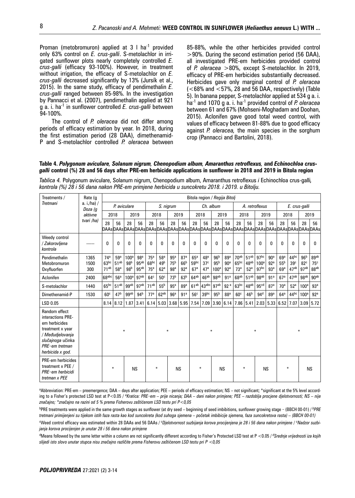Proman (metobromuron) applied at 3 l ha<sup>-1</sup> provided only 63% control on *E. crus-galli*. S-metolachlor in irrigated sunflower plots nearly completely controlled *E. crus-galli* (efficacy 93-100%). However, in treatment without irrigation, the efficacy of S-metolachlor on *E. crus-galli* decreased significantly by 13% (Jursík et al., 2015). In the same study, efficacy of pendimethalin *E. crus-galli* ranged between 85-98%. In the investigation by Pannacci et al. (2007), pendimethalin applied at 921 g a. i. ha-1 in sunflower controlled *E. crus-galli* between 94*-*100%.

The control of *P. oleracea* did not differ among periods of efficacy estimation by year. In 2018, during the first estimation period (28 DAA), dimethenamid-P and S-metolachlor controlled *P. oleracea* between 85-88%, while the other herbicides provided control >90%. During the second estimation period (56 DAA), all investigated PRE-em herbicides provided control of *P. oleracea* >80%, except S-metolachlor. In 2019, efficacy of PRE-em herbicides substantially decreased. Herbicides gave only marginal control of *P. oleracea* (<68% and <57%, 28 and 56 DAA, respectively) (Table 5). In banana pepper, S-metolachlor applied at 534 g a. i. ha-1 and 1070 g a. i. ha-1 provided control of *P. oleracea* between 61 and 67% (Mohseni-Moghadam and Doohan, 2015). Aclonifen gave good total weed control, with values of efficacy between 81-88% due to good efficacy against *P. oleracea,* the main species in the sorghum crop (Pannacci and Bartolini, 2018).

#### **Table 4.** *Polygonum aviculare, Solanum nigrum, Chenopodium album, Amaranthus retroflexus,* **and** *Echinochloa crusgalli* **control (%) 28 and 56 days after PRE-em herbicide applications in sunflower in 2018 and 2019 in Bitola region**

*Tablica 4.* Polygonum aviculare, Solanum nigrum, Chenopodium album, Amaranthus retroflexus *i* Echinochloa crus-galli*, kontrola (%) 28 i 56 dana nakon PRE-em primjene herbicida u suncokretu 2018. i 2019. u Bitolju.* 

| Treatments /                                                                                                                                           | Rate (q                | Bitola region / Regija Bitoli                           |                                            |                                                        |                                                         |                                                        |                                                       |                                           |                                                       |                                     |                                                       |                                                        |                                           |                                                         |                                                         |                                              |                                                       |                               |                                                         |                                            |                                 |
|--------------------------------------------------------------------------------------------------------------------------------------------------------|------------------------|---------------------------------------------------------|--------------------------------------------|--------------------------------------------------------|---------------------------------------------------------|--------------------------------------------------------|-------------------------------------------------------|-------------------------------------------|-------------------------------------------------------|-------------------------------------|-------------------------------------------------------|--------------------------------------------------------|-------------------------------------------|---------------------------------------------------------|---------------------------------------------------------|----------------------------------------------|-------------------------------------------------------|-------------------------------|---------------------------------------------------------|--------------------------------------------|---------------------------------|
| Tretmani                                                                                                                                               | a. i./ha) /<br>Doza (q |                                                         | P. aviculare                               |                                                        |                                                         |                                                        |                                                       | S. niarum                                 |                                                       |                                     |                                                       | Ch. album                                              |                                           | A. retroflexus                                          |                                                         |                                              |                                                       | E. crus-galli                 |                                                         |                                            |                                 |
|                                                                                                                                                        | aktivne                |                                                         | 2018                                       |                                                        | 2019                                                    |                                                        | 2018                                                  |                                           | 2019                                                  |                                     | 2018                                                  |                                                        | 2019                                      |                                                         | 2018                                                    |                                              | 2019                                                  |                               | 2018                                                    |                                            | 2019                            |
|                                                                                                                                                        | tvari /ha)             | 28                                                      | 56                                         | 28                                                     | 56                                                      | 28                                                     | 56                                                    | 28                                        | 56                                                    | 28                                  | 56                                                    | 28                                                     | 56                                        | 28                                                      | 56                                                      | 28                                           | 56                                                    | 28                            | 56                                                      | 28                                         | 56                              |
| Weedy control<br>/ Zakorovljena<br>kontrola                                                                                                            | ------                 | 0                                                       | <sup>0</sup>                               | $\Omega$                                               | $\Omega$                                                | $\Omega$                                               | $\Omega$                                              | $\Omega$                                  | $\Omega$                                              | $\Omega$                            | 0                                                     | U                                                      | 0                                         | <sub>0</sub>                                            | 0                                                       | $\Omega$                                     | $\Omega$                                              | <sup>0</sup>                  | $\Omega$                                                | 0                                          | 0                               |
| Pendimethalin<br>Metobromuron<br>Oxyfluorfen                                                                                                           | 1365<br>1500<br>300    | 74 <sup>a</sup><br>63 <sub>pc</sub><br>71 <sup>ab</sup> | 59a<br>51 <sup>ab</sup><br>58 <sup>a</sup> | 100 <sup>a</sup><br>98 <sup>b</sup><br>98 <sup>b</sup> | 98 <sup>a</sup><br>95 <sup>ab</sup><br>95 <sup>ab</sup> | 75 <sup>a</sup><br>68 <sub>pc</sub><br>75 <sup>a</sup> | 58 <sup>a</sup><br>49 <sup>b</sup><br>62 <sup>a</sup> | 95a<br>75 <sup>b</sup><br>98 <sup>a</sup> | 87 <sup>a</sup><br>66 <sup>b</sup><br>92 <sup>a</sup> | 65a<br>$59^{bc}$<br>67 <sup>a</sup> | 48 <sup>a</sup><br>37 <sup>c</sup><br>47 <sup>a</sup> | 96 <sup>b</sup><br>95 <sup>b</sup><br>100 <sup>a</sup> | 89ª<br>90 <sup>a</sup><br>92 <sup>a</sup> | 70 <sub>ab</sub><br>65 <sup>bc</sup><br>73 <sup>a</sup> | 51 <sup>ab</sup><br>48 <sup>ab</sup><br>52 <sup>a</sup> | 97bc<br>100 <sup>a</sup><br>97 <sup>bc</sup> | 90 <sup>a</sup><br>92 <sup>a</sup><br>93 <sup>a</sup> | 69a<br>55 <sup>b</sup><br>69a | 44 <sup>bc</sup><br>39 <sup>c</sup><br>47 <sup>ab</sup> | 96 <sup>b</sup><br>82 <sup>c</sup><br>97ab | 89ab<br>75 <sup>c</sup><br>88ab |
| Aclonifen                                                                                                                                              | 2400                   | 68abc                                                   | 56 <sup>a</sup>                            | 100 <sup>a</sup>                                       | 97 <sub>ab</sub>                                        | 64 <sup>c</sup>                                        | 50 <sup>c</sup>                                       | 73 <sup>b</sup>                           | 63 <sup>b</sup>                                       | $64^{ab}$                           | 46 <sup>ab</sup>                                      | 98 <sup>ab</sup>                                       | 91 <sup>a</sup>                           | 68 <sup>ab</sup>                                        | 51 <sup>ab</sup>                                        | 98 <sup>ab</sup>                             | 91 <sup>a</sup>                                       | 67 <sup>a</sup>               | $47^{ab}$                                               | 98 <sup>ab</sup>                           | 90 <sub>ap</sub>                |
| S-metolachlor                                                                                                                                          | 1440                   | 65 <sup>bc</sup>                                        | 51 <sup>ab</sup>                           | ggab                                                   | 97ab                                                    | 71 <sup>ab</sup>                                       | 55 <sup>b</sup>                                       | 95a                                       | 89ª                                                   | 61 <sup>ab</sup>                    | $ 43^{\rm abc} $                                      | 97ab                                                   | 92a                                       | 63 <sub>pc</sub>                                        | 48 <sup>ab</sup>                                        | 95 <sup>cd</sup>                             | 87 <sup>a</sup>                                       | 70 <sup>a</sup>               | 52 <sup>a</sup>                                         | 100 <sup>a</sup>                           | 93 <sup>a</sup>                 |
| Dimethenamid-P                                                                                                                                         | 1530                   | 60 <sup>c</sup>                                         | 47 <sup>b</sup>                            | ggab                                                   | 94 <sup>b</sup>                                         | 77 <sup>a</sup>                                        | 62 <sup>ab</sup>                                      | 96 <sup>a</sup>                           | 91 <sup>a</sup>                                       | 56 <sup>c</sup>                     | 39 <sub>pc</sub>                                      | 95 <sup>b</sup>                                        | 88 <sup>a</sup>                           | 60 <sup>c</sup>                                         | 46 <sup>b</sup>                                         | 94 <sup>d</sup>                              | 89ª                                                   | 64 <sup>a</sup>               | $44^{bc}$                                               | 100 <sup>a</sup>                           | 92 <sup>a</sup>                 |
| LSD 0.05                                                                                                                                               |                        | 8.14                                                    | 8.12                                       | 1.87                                                   | 3.41                                                    | 6.14                                                   | 5.03                                                  |                                           | $3.68$ 5.95                                           | 7.54                                |                                                       | $7.09$ 3.90                                            | 6.14                                      |                                                         | $7.86$ 5.41                                             | $2.03 \mid 5.33$                             |                                                       | 6.52                          |                                                         |                                            | $7.07$ 3.09 5.72                |
| Random effect<br>interactions PRE-<br>em herbicides<br>treatment x year<br>/ Međudjelovanja<br>slučajnoga učinka<br>PRE-em tretman<br>herbicida x god. |                        | ₩                                                       |                                            |                                                        |                                                         |                                                        |                                                       |                                           |                                                       |                                     |                                                       | ∗                                                      |                                           |                                                         |                                                         | ₩                                            |                                                       |                               |                                                         |                                            |                                 |
| PRE-em herbicides<br>treatment x PEE /<br>PRE-em herbicidi<br>tretman x PEE                                                                            |                        |                                                         | $\ast$<br><b>NS</b>                        |                                                        | ₩<br><b>NS</b>                                          |                                                        | ₩<br><b>NS</b>                                        |                                           | ₩<br><b>NS</b>                                        |                                     |                                                       | ₩                                                      |                                           | <b>NS</b>                                               |                                                         |                                              |                                                       |                               |                                                         |                                            |                                 |

a Abbreviation: PRE-em – preemergence; DAA – days after application; PEE – periods of efficacy estimation; NS – not significant; \*significant at the 5% level according to a Fisher's protected LSD test at P<0.05 / *<sup>a</sup> Kratica: PRE*‒*em – prije nicanja; DAA – dani nakon primjene; PEE – razdoblja procjene djelotvornosti; NS – nije značajno; \*značajno na razini od 5 % prema Fisherovu zaštićenom LSD testu pri P<0,05*

b PRE treatments were applied in the same growth stages as sunflower (at dry seed – beginning of seed imbibitions, sunflower growing stage ‒ (BBCH 00-01) / *<sup>b</sup> PRE tretmani primijenjeni su tijekom istih faza rasta kao kod suncokreta (kod suhoga sjemena – početak imbibicije sjemena, faza suncokretova rasta) – (BBCH 00-01)*

<sup>c</sup>Weed control efficacy was estimated within 28 DAAs and 56 DAAs / *cDjelotvornost suzbijanja korova procijenjena je 28 i 56 dana nakon primjene / <sup>c</sup>Nadzor suzbijanja korova procijenjen je unutar 28 i 56 dana nakon primjene*

<sup>d</sup>Means followed by the same letter within a column are not significantly different according to Fisher's Protected LSD test at P <0.05 / <sup>d</sup>Srednje vrijednosti iza kojih *slijedi isto slovo unutar stupca nisu značajno različite prema Fisherovu zaštićenom LSD testu pri P <0,05*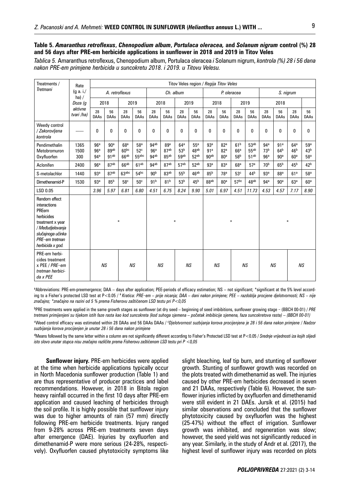# **Table 5.** *Amaranthus retroflexus***,** *Chenopodium album***,** *Portulaca oleracea,* **and** *Solanum nigrum* **control (%) 28 and 56 days after PRE-em herbicide applications in sunflower in 2018 and 2019 in Titov Veles**

*Tablica 5.* Amaranthus retroflexus, Chenopodium album, Portulaca oleracea *i* Solanum nigrum, *kontrola (%) 28 i 56 dana nakon PRE-em primjene herbicida u suncokretu 2018. i 2019. u Titovu Velesu.*

| Treatments /                                                                                                                                            | Rate                             | Titov Veles region / Regija Titov Veles   |                                             |                                                         |                                                         |                                                  |                          |                                             |                     |                                                        |                                                       |                                                       |                                              |                                                       |                                                       |                                                       |                                           |  |
|---------------------------------------------------------------------------------------------------------------------------------------------------------|----------------------------------|-------------------------------------------|---------------------------------------------|---------------------------------------------------------|---------------------------------------------------------|--------------------------------------------------|--------------------------|---------------------------------------------|---------------------|--------------------------------------------------------|-------------------------------------------------------|-------------------------------------------------------|----------------------------------------------|-------------------------------------------------------|-------------------------------------------------------|-------------------------------------------------------|-------------------------------------------|--|
| <b>Tretmani</b>                                                                                                                                         | (g a. i./<br>ha) /               | A. retroflexus                            |                                             |                                                         | Ch. album                                               |                                                  |                          |                                             | P. oleracea         |                                                        |                                                       | S. nigrum                                             |                                              |                                                       |                                                       |                                                       |                                           |  |
|                                                                                                                                                         | Doza (q<br>aktivne<br>tvari /ha) |                                           | 2018                                        |                                                         | 2019                                                    |                                                  | 2018                     |                                             | 2019                |                                                        | 2018                                                  |                                                       | 2019                                         |                                                       | 2018                                                  |                                                       |                                           |  |
|                                                                                                                                                         |                                  | 28<br><b>DAAs</b>                         | 56<br><b>DAAs</b>                           | 28<br><b>DAAs</b>                                       | 56<br><b>DAAs</b>                                       | 28<br><b>DAAs</b>                                | 56<br><b>DAAs</b>        | 28<br><b>DAAs</b>                           | 56<br><b>DAAs</b>   | 28<br><b>DAAs</b>                                      | 56<br><b>DAAs</b>                                     | 28<br><b>DAAs</b>                                     | 56<br><b>DAAs</b>                            | 28<br><b>DAAs</b>                                     | 56<br><b>DAAs</b>                                     | 28<br><b>DAAs</b>                                     | 56<br><b>DAAs</b>                         |  |
| Weedy control<br>/ Zakorovljena<br>kontrola                                                                                                             | ------                           | 0                                         | 0                                           | 0                                                       | $\Omega$                                                | $\Omega$                                         | $\Omega$                 | 0                                           | 0                   | $\Omega$                                               | 0                                                     | 0                                                     | 0                                            | $\mathbf{0}$                                          | $\mathbf{0}$                                          | 0                                                     | 0                                         |  |
| Pendimethalin<br>Metobromuron<br>Oxyfluorfen                                                                                                            | 1365<br>1500<br>300              | 96a<br>96 <sup>a</sup><br>94 <sup>a</sup> | 90 <sup>a</sup><br>89ab<br>91 <sup>ab</sup> | 68 <sup>a</sup><br>60 <sub>pc</sub><br>66 <sup>ab</sup> | 58 <sup>a</sup><br>52 <sup>c</sup><br>55 <sup>abc</sup> | 94 <sup>ab</sup><br>96 <sup>a</sup><br>$94^{ab}$ | 89ª<br>87ab<br>$85^{ab}$ | 64 <sup>a</sup><br>53 <sup>b</sup><br>5.9ab | 55a<br>48ab<br>52ab | 93 <sup>a</sup><br>91 <sup>a</sup><br>90 <sup>ab</sup> | 82 <sup>a</sup><br>82 <sup>a</sup><br>80 <sup>a</sup> | 61 <sup>b</sup><br>66 <sup>a</sup><br>58 <sup>b</sup> | 53 <sup>ab</sup><br>55ab<br>51 <sup>ab</sup> | 94 <sup>a</sup><br>73 <sup>b</sup><br>96 <sup>a</sup> | 91 <sup>a</sup><br>64 <sup>b</sup><br>90 <sup>a</sup> | 64 <sup>a</sup><br>46 <sup>b</sup><br>60 <sup>a</sup> | 59a<br>43 <sup>b</sup><br>58 <sup>a</sup> |  |
| Aclonifen                                                                                                                                               | 2400                             | 96 <sup>a</sup>                           | 87 <sup>ab</sup>                            | 66 <sup>ab</sup>                                        | 61ab                                                    | 94 <sup>ab</sup>                                 | 87ab                     | 57ab                                        | 52ab                | 93 <sup>a</sup>                                        | 83 <sup>a</sup>                                       | 68 <sup>a</sup>                                       | 57 <sup>a</sup>                              | 70 <sup>b</sup>                                       | 65 <sup>b</sup>                                       | 45 <sup>b</sup>                                       | 42 <sup>b</sup>                           |  |
| S-metolachlor                                                                                                                                           | 1440                             | 93 <sup>a</sup>                           | 87 <sup>ab</sup>                            | 63 <sub>abc</sub>                                       | 54 <sup>bc</sup>                                        | 90 <sup>b</sup>                                  | 83 <sup>ab</sup>         | 55 <sup>b</sup>                             | 46 <sup>ab</sup>    | 85 <sup>b</sup>                                        | 78 <sup>a</sup>                                       | 53 <sup>c</sup>                                       | 44 <sup>b</sup>                              | 93 <sup>a</sup>                                       | 88 <sup>a</sup>                                       | 61 <sup>a</sup>                                       | 58 <sup>a</sup>                           |  |
| Dimethenamid-P                                                                                                                                          | 1530                             | 93 <sup>a</sup>                           | 85 <sup>b</sup>                             | 58 <sup>c</sup>                                         | 50 <sup>c</sup>                                         | 91 <sup>b</sup>                                  | 81 <sup>b</sup>          | 53 <sup>b</sup>                             | 45 <sup>b</sup>     | 88ab                                                   | 80 <sup>a</sup>                                       | 57 <sup>bc</sup>                                      | 48 <sup>ab</sup>                             | 94 <sup>a</sup>                                       | 90 <sup>a</sup>                                       | 63 <sup>a</sup>                                       | 60 <sup>a</sup>                           |  |
| LSD 0.05                                                                                                                                                |                                  | 3.96                                      | 5.97                                        | 6.81                                                    | 6.80                                                    | 4.51                                             | 6.75                     | 8.24                                        | 9.90                | 5.01                                                   | 6.97                                                  | 4.51                                                  | 11.73                                        | 4.53                                                  | 4.57                                                  | 7.17                                                  | 8.90                                      |  |
| Random effect<br>interactions<br>PREem<br>herbicides<br>treatment x year<br>/ Međudjelovanja<br>slučajnoga učinka<br>PRE-em tretman<br>herbicida x god. |                                  |                                           |                                             | ₩                                                       |                                                         |                                                  |                          | $\ast$                                      |                     |                                                        |                                                       | ∗                                                     |                                              | ₩                                                     |                                                       |                                                       |                                           |  |
| PRE-em herbi-<br>cides treatment<br>x PEE / PRE-em<br>tretman herbici-<br>$da \times PEE$                                                               |                                  | <b>NS</b><br>NS                           |                                             |                                                         | <b>NS</b><br><b>NS</b>                                  |                                                  |                          | <b>NS</b><br>NS                             |                     |                                                        | <b>NS</b>                                             |                                                       |                                              | <b>NS</b>                                             |                                                       |                                                       |                                           |  |

a Abbreviations: PRE-em-preemergence; DAA – days after application; PEE-periods of efficacy estimation; NS – not significant; \*significant at the 5% level according to a Fisher's protected LSD test at P<0.05 / <sup>a</sup> Kratica: PRE-em – prije nicanja; DAA – dani nakon primjene; PEE – razdoblja procjene djelotvornosti; NS – nije *značajno; \*značajno na razini od 5 % prema Fisherovu zaštićenom LSD testu pri P<0,05* 

b PRE treatments were applied in the same growth stages as sunflower (at dry seed – beginning of seed imbibitions, sunflower growing stage ‒ (BBCH 00-01) / *PRE tretmani primijenjeni su tijekom istih faze rasta kao kod suncokreta (kod suhoga sjemena – početak imbibicije sjemena, faza suncokretova rasta) – (BBCH 00-01)*  <sup>c</sup>Weed control efficacy was estimated within 28 DAAs and 56 DAAs DAAs / *<sup>c</sup>Djelotvornost suzbijanja korova procijenjena je 28 i 56 dana nakon primjene / Nadzor* 

*suzbijanja korova procijenjen je unutar 28 i 56 dana nakon primjene*

d Means followed by the same letter within a column are not significantly different according to Fisher's Protected LSD test at P<0.05 / *Srednje vrijednosti iza kojih slijedi isto slovo unutar stupca nisu značajno različite prema Fisherovu zaštićenom LSD testu pri P <0,05*

**Sunflower injury.** PRE-em herbicides were applied at the time when herbicide applications typically occur in North Macedonia sunflower production (Table 1) and are thus representative of producer practices and label recommendations. However, in 2018 in Bitola region heavy rainfall occurred in the first 10 days after PRE-em application and caused leaching of herbicides through the soil profile. It is highly possible that sunflower injury was due to higher amounts of rain (57 mm) directly following PRE-em herbicide treatments. Injury ranged from 9-28% across PRE-em treatments seven days after emergence (DAE). Injuries by oxyfluorfen and dimethenamid-P were more serious (24-28%, respectively). Oxyfluorfen caused phytotoxicity symptoms like slight bleaching, leaf tip burn, and stunting of sunflower growth. Stunting of sunflower growth was recorded on the plots treated with dimethenamid as well. The injuries caused by other PRE-em herbicides decreased in seven and 21 DAAs, respectively (Table 6). However, the sunflower injuries inflicted by oxyfluorfen and dimethenamid were still evident in 21 DAEs. Jursík et al. (2015) had similar observations and concluded that the sunflower phytotoxicity caused by oxyfluorfen was the highest (25-47%) without the effect of irrigation. Sunflower growth was inhibited, and regeneration was slow; however, the seed yield was not significantly reduced in any year. Similarly, in the study of Andr et al. (2017), the highest level of sunflower injury was recorded on plots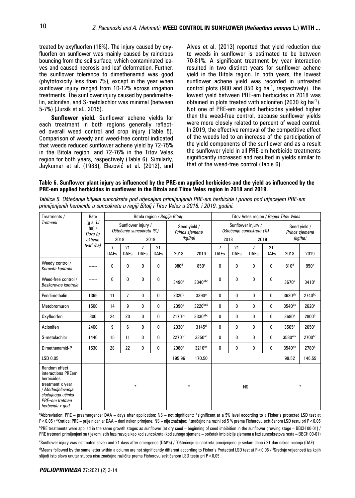treated by oxyfluorfen (18%). The injury caused by oxyfluorfen on sunflower was mainly caused by raindrops bouncing from the soil surface, which contaminated leaves and caused necrosis and leaf deformation. Further, the sunflower tolerance to dimethenamid was good (phytotoxicity less than 7%), except in the year when sunflower injury ranged from 10-12% across irrigation treatments. The sunflower injury caused by pendimethalin, aclonifen, and S-metolachlor was minimal (between 5-7%) (Jursík et al., 2015).

**Sunflower yield.** Sunflower achene yields for each treatment in both regions generally reflected overall weed control and crop injury (Table 5). Comparison of weedy and weed-free control indicated that weeds reduced sunflower achene yield by 72-75% in the Bitola region, and 72-76% in the Titov Veles region for both years, respectively (Table 6). Similarly, Jaykumar et al. (1988), Elezović et al. (2012), and

Alves et al. (2013) reported that yield reduction due to weeds in sunflower is estimated to be between 70-81%. A significant treatment by year interaction resulted in two distinct years for sunflower achene yield in the Bitola region. In both years, the lowest sunflower achene yield was recorded in untreated control plots (980 and 850 kg ha $^{-1}$ , respectively). The lowest yield between PRE-em herbicides in 2018 was obtained in plots treated with aclonifen (2030 kg ha<sup>-1</sup>). Not one of PRE-em applied herbicides yielded higher than the weed-free control, because sunflower yields were more closely related to percent of weed control. In 2019, the effective removal of the competitive effect of the weeds led to an increase of the participation of the yield components of the sunflower and as a result the sunflower yield in all PRE-em herbicide treatments significantly increased and resulted in yields similar to that of the weed-free control (Table 6).

**Table 6. Sunflower plant injury as influenced by the PRE-em applied herbicides and the yield as influenced by the PRE-em applied herbicides in sunflower in the Bitola and Titov Veles region in 2018 and 2019.**

| Treatments /                                                                                                                                         | Rate                          |                  |                   |                                                |                   | Bitola region / Regija Bitoli  |                    | Titov Veles region / Regija Titov Veles |                                                |                                |                   |                   |                   |  |
|------------------------------------------------------------------------------------------------------------------------------------------------------|-------------------------------|------------------|-------------------|------------------------------------------------|-------------------|--------------------------------|--------------------|-----------------------------------------|------------------------------------------------|--------------------------------|-------------------|-------------------|-------------------|--|
| <b>Tretmani</b>                                                                                                                                      | (g a. i./<br>ha) /<br>Doza (q |                  |                   | Sunflower injury /<br>Oštećenje suncokreta (%) |                   | Seed yield /<br>Prinos sjemena |                    |                                         | Sunflower injury /<br>Oštećenje suncokreta (%) | Seed yield /<br>Prinos sjemena |                   |                   |                   |  |
| aktivne                                                                                                                                              |                               | 2018             |                   |                                                | 2019              | (kq/ha)                        |                    | 2018                                    |                                                |                                | 2019              | (kg/ha)           |                   |  |
|                                                                                                                                                      | tvari /ha)                    | 7<br><b>DAEs</b> | 21<br><b>DAEs</b> | $\overline{7}$<br><b>DAEs</b>                  | 21<br><b>DAEs</b> | 2018                           | 2019               | 7<br><b>DAEs</b>                        | 21<br><b>DAEs</b>                              | 7<br><b>DAEs</b>               | 21<br><b>DAEs</b> | 2018              | 2019              |  |
| Weedy control /<br>Korovita kontrola                                                                                                                 | ------                        | 0                | 0                 | 0                                              | 0                 | 980 <sup>d</sup>               | 850 <sup>e</sup>   | 0                                       | 0                                              | 0                              | 0                 | 810 <sup>d</sup>  | 950 <sup>d</sup>  |  |
| Weed-free control /<br>Beskorovna kontrola                                                                                                           | ------                        | 0                | 0                 | 0                                              | 0                 | 3490 <sup>a</sup>              | 3340abc            | 0                                       | 0                                              | 0                              | 0                 | 3670 <sup>a</sup> | 3410 <sup>a</sup> |  |
| Pendimethalin                                                                                                                                        | 1365                          | 11               | 7                 | 0                                              | 0                 | 2320 <sup>b</sup>              | 3390 <sup>a</sup>  | 0                                       | 0                                              | 0                              | 0                 | 3620ab            | 2740bc            |  |
| Metobromuron                                                                                                                                         | 1500                          | 14               | 9                 | 0                                              | 0                 | 2090 <sup>c</sup>              | 3220bcd            | 0                                       | 0                                              | 0                              | 0                 | $3540^{bc}$       | 2620 <sup>c</sup> |  |
| Oxyfluorfen                                                                                                                                          | 300                           | 24               | 20                | $\Omega$                                       | 0                 | 2170bc                         | 3330abc            | 0                                       | 0                                              | 0                              | 0                 | 3680 <sup>a</sup> | 2800 <sup>b</sup> |  |
| Aclonifen                                                                                                                                            | 2400                          | 9                | 6                 | 0                                              | 0                 | 2030 <sup>c</sup>              | $3145^d$           | 0                                       | 0                                              | 0                              | 0                 | 3505 <sup>c</sup> | $2650^\circ$      |  |
| S-metolachlor                                                                                                                                        | 1440                          | 15               | 11                | 0                                              | 0                 | 2270bc                         | 3350 <sup>ab</sup> | 0                                       | 0                                              | 0                              | 0                 | 3580abc           | 2700bc            |  |
| Dimethenamid-P                                                                                                                                       | 1530                          | 28               | 22                | 0                                              | 0                 | 2080 <sup>c</sup>              | 3210 <sup>cd</sup> | 0                                       | 0                                              | 0                              | 0                 | 3540bc            | 2780 <sup>b</sup> |  |
| LSD 0.05                                                                                                                                             |                               |                  |                   |                                                |                   | 195.96                         | 170.50             |                                         |                                                |                                |                   | 99.52             | 146.55            |  |
| Random effect<br>interactions PREem<br>herbicides<br>treatment x year<br>/ Međudjelovanja<br>slučajnoga učinka<br>PRE-em tretman<br>herbicida x god. |                               |                  | $\ast$            |                                                |                   |                                |                    |                                         | <b>NS</b>                                      | $\ast$                         |                   |                   |                   |  |

*Tablica 5. Oštećenja biljaka suncokreta pod utjecajem primijenjenih PRE-em herbicida i prinos pod utjecajem PRE-em primijenjenih herbicida u suncokretu u regiji Bitolj i Titov Veles u 2018. i 2019. godini.*

a Abbreviation: PRE – preemergence; DAA – days after application; NS – not significant; \*significant at a 5% level according to a Fisher's protected LSD test at P<0.05 / a Kratica: PRE – prije nicanja; DAA – dani nakon primjene; NS – nije značajno; \*značajno na razini od 5 % prema Fisherovu zaštićenom LSD testu pri P<0,05  $^{\rm b}$ PRE treatments were applied in the same growth stages as sunflower (at dry seed – beginning of seed imbibition in the sunflower growing stage – BBCH 00-01) / PRE tretmani primijenjeni su tijekom istih faza razvoja kao kod suncokreta (kod suhoga sjemena – početak imbibicije sjemena u fazi suncokretova rasta – BBCH 00-01)

<sup>c</sup>Sunflower injury was estimated seven and 21 days after emergence (DAEs) / °Oštećenje suncokreta procijenjeno je sedam dana i 21 dan nakon nicanja (DAE) <sup>d</sup>Means followed by the same letter within a column are not significantly different according to Fisher's Protected LSD test at P<0.05 / <sup>d</sup>Srednje vrijednosti iza kojih slijedi isto slovo unutar stupca nisu značajno različite prema Fisherovu zaštićenom LSD testu pri P<0,05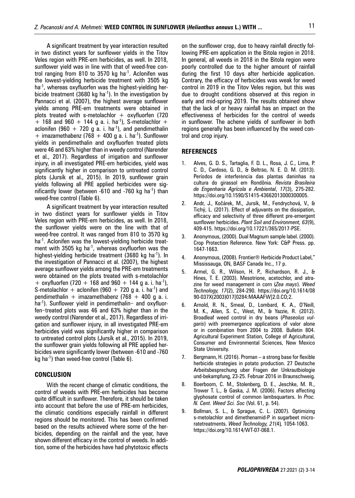A significant treatment by year interaction resulted in two distinct years for sunflower yields in the Titov Veles region with PRE-em herbicides, as well. In 2018, sunflower yield was in line with that of weed-free control ranging from 810 to 3570 kg ha $^{-1}$ . Aclonifen was the lowest-yielding herbicide treatment with 3505 kg ha<sup>-1</sup>, whereas oxyfluorfen was the highest-yielding herbicide treatment (3680 kg ha<sup>-1</sup>). In the investigation by Pannacci et al. (2007), the highest average sunflower yields among PRE-em treatments were obtained in plots treated with s-metolachlor  $+$  oxyfluorfen (720  $+$  168 and 960  $+$  144 g a. i. ha<sup>-1</sup>), S-metolachlor  $+$ aclonifen (960 + 720 g a. i. ha<sup>-1</sup>), and pendimethalin  $+$  imazamethabenz (768  $+$  400 g a. i. ha<sup>-1</sup>). Sunflower yields in pendimethalin and oxyfluorfen treated plots were 46 and 63% higher than in weedy control (Narender et al., 2017). Regardless of irrigation and sunflower injury, in all investigated PRE-em herbicides, yield was significantly higher in comparison to untreated control plots (Jursík et al., 2015). In 2019, sunflower grain yields following all PRE applied herbicides were significantly lower (between  $-610$  and  $-760$  kg ha<sup>-1</sup>) than weed-free control (Table 6).

A significant treatment by year interaction resulted in two distinct years for sunflower yields in Titov Veles region with PRE-em herbicides, as well. In 2018, the sunflower yields were on the line with that of weed-free control. It was ranged from 810 to 3570 kg ha<sup>-1</sup>. Aclonifen was the lowest-yielding herbicide treatment with 3505 kg ha<sup>-1</sup>, whereas oxyfluorfen was the highest-yielding herbicide treatment (3680 kg ha<sup>-1</sup>). In the investigation of Pannacci et al. (2007), the highest average sunflower yields among the PRE-em treatments were obtained on the plots treated with s-metolachlor + oxyfluorfen (720 + 168 and 960 + 144 g a. i. ha<sup>-1</sup>), S-metolachlor + aclonifen (960 + 720 g a. i. ha<sup>-1</sup>) and pendimethalin + imazamethabenz (768 + 400 g a. i. ha<sup>-1</sup>). Sunflower vield in pendimethalin– and oxyfluorfen-treated plots was 46 and 63% higher than in the weedy control (Narender et al., 2017). Regardless of irrigation and sunflower injury, in all investigated PRE-em herbicides yield was significantly higher in comparison to untreated control plots (Jursík et al., 2015). In 2019, the sunflower grain yields following all PRE applied herbicides were significantly lower (between -610 and -760 kg ha<sup>-1</sup>) than weed-free control (Table  $6$ ).

## **CONCLUSION**

With the recent change of climatic conditions, the control of weeds with PRE-em herbicides has become quite difficult in sunflower. Therefore, it should be taken into account that before the use of PRE-em herbicides, the climatic conditions especially rainfall in different regions should be monitored. This has been confirmed based on the results achieved where some of the herbicides, depending on the rainfall and the year, have shown different efficacy in the control of weeds. In addition, some of the herbicides have had phytotoxic effects

on the sunflower crop, due to heavy rainfall directly following PRE-em application in the Bitola region in 2018. In general, all weeds in 2018 in the Bitola region were poorly controlled due to the higher amount of rainfall during the first 10 days after herbicide application. Contrary, the efficacy of herbicides was weak for weed control in 2019 in the Titov Veles region, but this was due to drought conditions observed at this region in early and mid-spring 2019. The results obtained show that the lack of or heavy rainfall has an impact on the effectiveness of herbicides for the control of weeds in sunflower. The achene yields of sunflower in both regions generally has been influenced by the weed control and crop injury.

#### **REFERENCES**

- 1. Alves, G. D. S., Tartaglia, F. D. L., Rosa, J. C., Lima, P. C. D., Cardoso, G. D., & Beltrão, N. E. D. M. (2013). Períodos de interferência das plantas daninhas na cultura do girassol em Rondônia. *Revista Brasileira de Engenharia Agrícola e Ambiental*, *17*(3), 275-282. https://doi.org/10.1590/S1415-43662013000300005.
- 2. Andr, J., Kočárek, M., Jursík, M., Fendrychová, V., & Tichý, L. (2017). Effect of adjuvants on the dissipation, efficacy and selectivity of three different pre-emergent sunflower herbicides. *Plant Soil and Environment, 63*(9), 409-415. https://doi.org/10.17221/365/2017-PSE.
- 3. Anonymous, (2000). Dual Magnum sample label. (2000). Crop Protection Reference. New York: C&P Press. pp. 1647-1663.
- 4. Anonymous, (2008). Frontier® Herbicide Product Label," Mississauga, ON, BASF Canada Inc., 17 p.
- 5. Armel, G. R., Wilson, H. P., Richardson, R. J., & Hines, T. E. (2003). Mesotrione, acetochlor, and atrazine for weed management in corn (*Zea mays*). *Weed Technology, 17*(2), 284-290. https://doi.org/10.1614/08 90-037X(2003)017[0284:MAAAFW]2.0.CO;2.
- 6. Arnold, R. N., Smeal, D., Lombard, K. A., O'Neill, M. K., Allen, S. C., West, M., & Yazzie, R. (2012). Broadleaf weed control in dry beans (*Phaseolus vulgaris*) with preemergence applications of valor alone or in combination from 2004 to 2008. Bulletin 804. Agricultural Experiment Station, College of Agricultural, Consumer and Environmental Sciences, New Mexico State University.
- 7. Bergmann, H. (2016). Proman a strong base for flexible herbicide strategies in potato production. 27 Deutsche Arbeitsbesprechung uber Fragen der Unkrautbiologie und-bekampfung, 23-25. Februar 2016 in Braunschweig.
- 8. Boerboom, C. M., Stolenberg, D. E., Jeschke, M. R., Trower T. L., & Gaska, J. M. (2006). Factors affecting glyphosate control of common lambsquarters. In *Proc. N. Cent. Weed Sci. Soc* (Vol. 61, p. 54).
- 9. Bollman, S. L., & Sprague, C. L. (2007). Optimizing s-metolachlor and dimethenamid-P in sugarbeet microratetreatments. *Weed Technology, 21*(4)*,* 1054-1063. https://doi.org/10.1614/WT-07-068.1.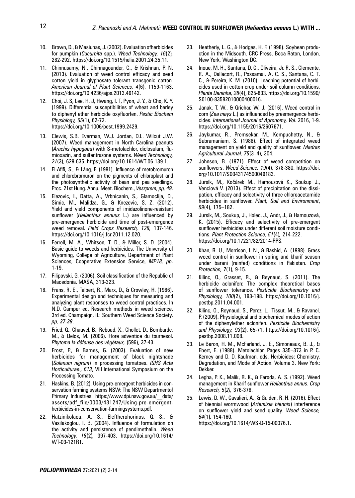- 10. Brown, D., & Masiunas, J. (2002). Evaluation ofherbicides for pumpkin (*Cucurbita* spp.). *Weed Technology, 16*(2)*,* 282-292. https://doi.org/10.1515/helia.2001.24.35.11.
- 11. Chinnusamy, N., Chinnagounder, C., & Krishnan, P. N. (2013). Evaluation of weed control efficacy and seed cotton yield in glyphosate tolerant transgenic cotton. *American Journal of Plant Sciences, 4*(6), 1159-1163. https://doi.org/10.4236/ajps.2013.46142.
- 12. Choi, J. S, Lee, H. J, Hwang, I. T, Pyon, J. Y., & Cho, K. Y. (1999). Differential susceptibilities of wheat and barley to diphenyl ether herbicide oxyfluorfen. *Pestic Biochem Physiology, 65*(1), 62-72. https://doi.org/10.1006/pest.1999.2429.
- 13. Clewis, S.B. Everman, W.J. Jordan, D.L. Wilcut J.W. (2007). Weed management in North Carolina peanuts (*Arachis hypogaea*) with S-metolachlor, diclosulam, flumioxazin, and sulfentrazone systems. *Weed Technology, 21*(3), 629-635. https://doi.org/10.1614/WT-06-139.1.
- 14. El-Afifi, S., & Lâng, F. (1981). Influence of metobromuron and chlorobromuron on the pigments of chloroplast and the photosynthetic activity of bean and pea seedlings. Proc. 21st Hung. Annu. Meet. Biochem., *Veszprem, pp, 49*.
- 15. Elezovic, I., Datta, A., Vrbnicanin, S., Glamoclija, D., Simic, M., Malidza, G., & Knezevic, S. Z. (2012). Yield and yield components of imidazolinone-resistant sunflower (*Helianthus annuus* L.) are influenced by pre-emergence herbicide and time of post-emergence weed removal. *Field Crops Research, 128,* 137-146. https://doi.org/10.1016/j.fcr.2011.12.020.
- 16. Ferrell, M. A., Whitson, T. D., & Miller, S. D. (2004). Basic guide to weeds and herbicides, The University of Wyoming, College of Agriculture, Department of Plant Sciences, Cooperative Extension Service, *MP18, pp*. 1-19.
- 17. Filipovski, G. (2006). Soil classification of the Republic of Macedonia. MASA, 313-323.
- 18. Frans, R. E., Talbert, R., Marx, D., & Crowley, H. (1986). Experimental design and techniques for measuring and analyzing plant responses to weed control practices. In N.D. Camper ed. Research methods in weed science. 3rd ed. Champaign, IL: Southern Weed Science Society. *pp, 37-38*.
- 19. Fried, G., Chauvel, B., Reboud, X., Chollet, D., Bombarde, M., & Delos, M. (2006). Flore adventice du tournesol. *Phytoma la défense des végétaux,* (596), 37-43.
- 20. Frost, P., & Barnes, G. (2003). Evaluation of new herbicides for management of black nightshade (*Solanum nigrum*) in processing tomatoes. *ISHS Acta Horticulturae., 613*, VIII International Symposium on the Processing Tomato.
- 21. Haskins, B. (2012). Using pre-emergent herbicides in conservation farming systems NSW: The NSW Departmentof Primary Industries. https://www.dpi.nsw.gov.au/\_\_data/ assets/pdf\_file/0003/431247/Using-pre-emergentherbicides-in-conservation-farmingsystems.pdf.
- 22. Hatzinikolaou, A. S., Eleftherohorinos, G. S., & Vasilakoglou, I. B. (2004). Influence of formulation on the activity and persistence of pendimethalin. *Weed Technology, 18*(2)*,* 397-403. https://doi.org/10.1614/ WT-03-121R1.
- 23. Heatherly, L. G., & Hodges, H. F. (1998). Soybean production in the Midsouth. CRC Press, Boca Raton, London, New York, Washington DC.
- 24. Inoue, M. H., Santana, D. C., Oliveira, Jr. R. S., Clemente, R. A., Dallacort, R., Possamai, A. C. S., Santana, C. T. C., & Pereira, K. M. (2010). Leaching potential of herbicides used in cotton crop under soil column conditions. *Planta Daninha, 28*(4), 825-833. https://doi.org/10.1590/ S0100-83582010000400016.
- 25. Janak, T. W., & Grichar, W. J. (2016). Weed control in corn (*Zea mays* L.) as influenced by preemergence herbicides. *International Journal of Agronomy, Vol.* 2016, 1-9. https://doi.org/10.1155/2016/2607671.
- 26. Jaykumar, R., Premsekar, M., Kempuchetty, N., & Subramaniam, S. (1988). Effect of integrated weed management on yield and quality of sunflower. *Madras Agricultural Journal, 75*(3–4), 304.
- 27. Johnson, B. (1971). Effect of weed competition on sunflowers. *Weed Science. 19*(4), 378-380. https://doi. org/10.1017/S0043174500049183.
- 28. Jursík, M., Kočárek M., Hamouzová K., Soukup J., Venclová V. (2013). Effect of precipitation on the dissipation, efficacy and selectivity of three chloroacetamide herbicides in sunflower. *Plant, Soil and Environment*, *59*(4), 175–182.
- 29. Jursík, M., Soukup, J., Holec, J., Andr, J., & Hamouzová, K. (2015). Efficacy and selectivity of pre-emergent sunflower herbicides under different soil moisture conditions. *Plant Protection Science, 51*(4)*,* 214-222. https://doi.org/10.17221/82/2014-PPS.
- 30. Khan, R. U., Morrison, I. N., & Rashid, A. (1988). Grass weed control in sunflower in spring and kharif season under barani (rainfed) conditions in Pakistan. *Crop Protection, 7*(1)*,* 9-15.
- 31. Kilinc, O., Grasset, R., & Reynaud, S. (2011). The herbicide aclonifen: The complex theoretical bases of sunflower tolerance. *Pesticide Biochemistry and Physiology, 100*(2), 193-198. https://doi.org/10.1016/j. pestbp.2011.04.001.
- 32. Kilinc, O., Reynaud, S., Perez, L., Tissut, M., & Ravanel, P. (2009). Physiological and biochemical modes of action of the diphenylether aclonifen. *Pesticide Biochemistry and Physiology, 93*(2). 65-71. https://doi.org/10.1016/j. pestbp.2008.11.008.
- 33. Le Baron, H. M., McFarland, J. E., Simoneaux, B. J., & Ebert, E. (1988). Metolachlor. Pages 335–373 in P. C. Kerney and D. D. Kaufman, eds. Herbicides: Chemistry, Degradation, and Mode of Action. Volume 3. New York: Dekker.
- 34. Legha, P. K., Malik, R. K., & Faroda, A. S. (1992). Weed management in Kharif sunflower *Helianthus annus*. *Crop Research, 5*(*2),* 376-378.
- 35. Lewis, D. W., Cavalieri, A., & Gulden, R. H. (2016). Effect of biennial wormwood (*Artemisia biennis*) interference on sunflower yield and seed quality. *Weed Science, 64*(1)*,* 154-160. https://doi.org/10.1614/WS-D-15-00076.1.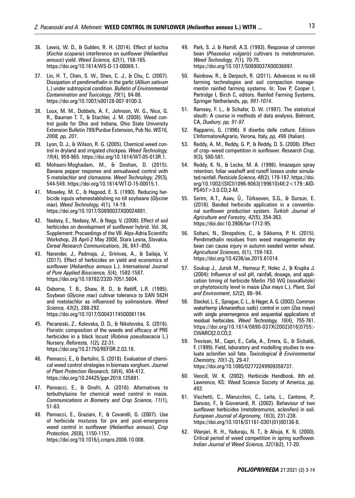- 36. Lewis, W. D., & Gulden, R. H. (2014). Effect of kochia (*Kochia scoparia*) interference on sunflower (*Helianthus annuus*) yield. *Weed Science, 62*(1), 158-165. https://doi.org/10.1614/WS-D-13-00069.1.
- 37. Lin, H. T., Chen, S. W., Shen, C. J., & Chu, C. (2007). Dissipation of pendimethalin in the garlic (*Allium sativum* L.) under subtropical condition. *Bulletin of Environmental Contamination and Toxicology, 79*(1)*,* 84-86. https://doi.org/10.1007/s00128-007-9100-3.
- 38. Loux, M. M., Dobbels, A. F., Johnson, W. G., Nice, G. R., Bauman T. T., & Stachler, J. M. (2008). Weed control guide for Ohio and Indiana, Ohio State University Extension Bulletin 789/Purdue Extension, Pub No. *WS16, 2008, pp, 201*.
- 39. Lyon, D. J., & Wilson, R. G. (2005). Chemical weed control in dryland and irrigated chickpea. *Weed Technology, 19*(4), 959-965. https://doi.org/10.1614/WT-05-013R.1.
- 40. Mohseni-Moghadam, M., & Doohan, D. (2015). Banana pepper response and annualweed control with S-metolachlor and clomazone. *Weed Technology, 29*(3)*,* 544-549. https://doi.org/10.1614/WT-D-15-00015.1.
- 41. Moseley, M. C., & Hagood, E. S. (1990). Reducing herbicide inputs whenestablishing no-till soybeans (*Glycine max*). *Weed Technology, 4*(1)*,* 14-19. https://doi.org/10.1017/S0890037X00024891.
- 42. Nadasy, E., Nadasy, M., & Nagy, V. (2008). Effect of soil herbicides on development of sunflower hybrid. Vol. 36, Supplement: Proceedings of the VII. Alps-Adria Scientific Workshop, 28 April-2 May 2008, Stara Lesna, Slovakia. *Cereal Research Communications*, 36, 847–850.
- 43. Narender, J., Padmaja, J., Srinivas, A., & Sailaja, V. (2017). Effect of herbicides on yield and economics of sunflower (*Helianthus annuus* L.). *International Journal of Pure Applied Bioscience, 5*(4), 1582-1587. https://doi.org/10.18782/2320-7051.5604.
- 44. Osborne, T. B., Shaw, R. D., & Ratliff, L.R. (1995). Soybean (*Glycine max*) cultivar tolerance to SAN 582H and metolachlor as influenced by soilmoisture. *Weed Science, 43*(2), 288-292. https://doi.org/10.1017/S0043174500081194.
- 45. Pacanoski, Z., Kolevska, D. D., & Nikolovska, S. (2016). Floristic composition of the weeds and efficacy of PRE herbicides in a black locust (*Robinia pseudoacacia* L.) Nursery. *Reforesta, 1*(2)*,* 22-31. https://doi.org/10.21750/REFOR.2.03.18.
- 46. Pannacci, E., & Bartolini, S. (2018). Evaluation of chemical weed control strategies in biomass sorghum. *Journal of Plant Protection Research, 58*(4), 404-412. https://doi.org/10.24425/jppr.2018.125881.
- 47. Pannacci, E., & Onofri, A. (2016). Alternatives to terbuthylazine for chemical weed control in maize. *Communications in Biometry and Crop Science, 11*(1), 51-63.
- 48. Pannacci, E., Graziani, F., & Covarelli, G. (2007). Use of herbicide mixtures for pre and post-emergence weed control in sunflower (*Helianthus annuus*). *Crop Protection, 26*(8)*,* 1150-1157. https://doi.org/10.1016/j.cropro.2006.10.008.
- 49. Park, S. J. & Hamill, A.S. (1993). Response of common bean (*Phaseolus vulgaris*) cultivars to metobromuron. *Weed Technology, 7*(1)*,* 70-75. https://doi.org/10.1017/S0890037X00036897.
- 50. Rainbow, R., & Derpsch, R. (2011). Advances in no-till farming technologies and soil compaction managementin rainfed farming systems. In: Tow P, Cooper I, Partridge I, Birch C, editors. Rainfed Farming Systems, Springer Netherlands, *pp, 991-1014*.
- 51. Ramsey, F. L., & Schafer, D. W. (1997). The statistical sleuth: A course in methods of data analysis. Belmont, CA, *Duxbury. pp, 91-97.*
- 52. Rapparini, G. (1996). II diserbo delle colture. Edizioni L'InformatoreAgrario, Verona, Italy, *pp, 496* (Italian).
- 53. Reddy, A. M., Reddy, G. P., & Reddy, D. S. (2008). Effect of crop–weed competition in sunflower. *Research Crop, 9*(3)*,* 580-581.
- 54. Reddy, K. N., & Locke, M. A. (1996). Imazaquin spray retention, foliar washoff and runoff losses under simulated rainfall. *Pesticide Science, 48*(2), 179-187. https://doi. org/10.1002/(SICI)1096-9063(199610)48:2<179::AID-PS457>3.0.CO;2-M.
- 55. Serim, A.T., Asav, Ü., Türkseven, S.G., & Dursun, E. (2018). Banded herbicide application in a conventional sunflower production system. *Turkish Journal of Agriculture and Forestry*, *42*(5), 354-363. https://doi.doi:10.3906/tar-1712-95.
- 56. Soltani, N., Shropshire, C., & Sikkema, P. H. (2015). Pendimethalin residues from weed managementin dry bean can cause injury in autumn seeded winter wheat. *Agricultural Sciences, 6*(1), 159-163. https://doi.org/10.4236/as.2015.61014.
- 57. Soukup J., Jursik M., Hamouz P., Holec J., & Krupka J. (2004): Influence of soil pH, rainfall, dosage, and application timing of herbicide Merlin 750 WG (isoxaflutole) on phytotoxicity level in maize (*Zea mays* L.). *Plant, Soil and Environment*, *52*(2), 88–94.
- 58. Steckel, L. E., Sprague, C. L., & Hager, A. G. (2002). Common waterhemp (*Amaranthus rudis*) control in corn (Zea mays) with single preemergence and sequential applications of residual herbicides. *Weed Technology, 16*(4), 755-761. https://doi.org/10.1614/0890-037X(2002)016[0755:- CWARCI]2.0.CO;2.
- 59. Trevisan, M., Capri, E., Cella, A., Errera, G., & Sicbaldi, F. (1999). Field, laboratory and modelling studies to evaluate aclonifen soil fate. *Toxicological & Environmental Chemistry, 70*(1-2)*,* 29-47. https://doi.org/10.1080/02772249909358737.
- 60. Vencill, W. K. (2002). Herbicide Handbook. 8th ed. Lawrence, KS: Weed Science Society of America, *pp, 493.*
- 61. Vischetti, C., Marucchini, C., Leita, L., Cantone, P., Danuso, F., & Giovanardi, R. (2002). Behaviour of two sunflower herbicides (metobromuron, aclonifen) in soil. *European Journal of Agronomy, 16*(3), 231-238. https://doi.org/10.1016/S1161-0301(01)00136-8.
- 62. Wanjari, R. H., Yaduraju, N. T., & Ahuja, K. N. (2000). Critical period of weed competition in spring sunflower. *Indian Journal of Weed Science, 32*(1&2), 17-20.